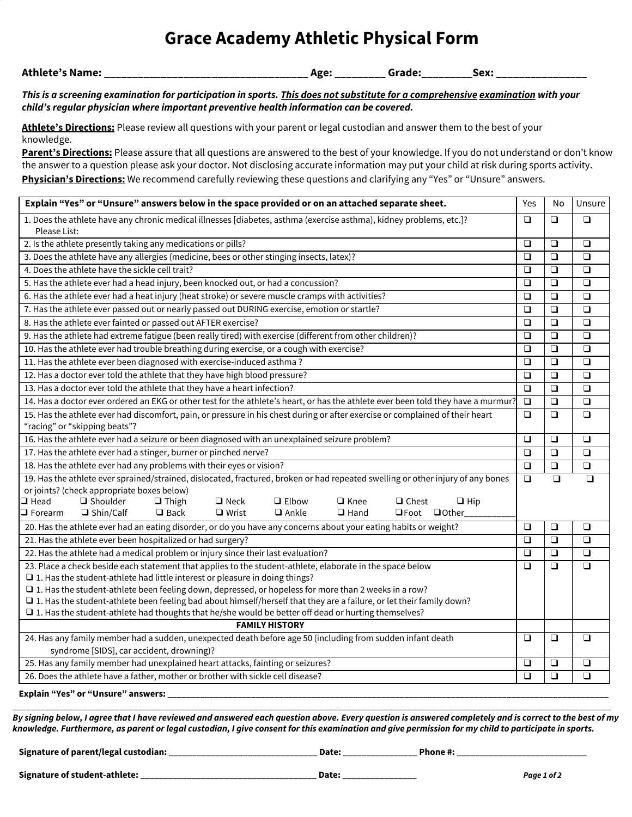## **Grace Academy Athletic Physical Form**

| Athlete's Name:<br>_____ | --<br>.<br>_____ | .<br>rada | AP'<br>_____ | _____ |
|--------------------------|------------------|-----------|--------------|-------|
|--------------------------|------------------|-----------|--------------|-------|

*This is a screening examination for participation in sports. This does not substitute for a comprehensive examination with your child's regular physician where important preventive health information can be covered.*

**Athlete's Directions:** Please review all questions with your parent or legal custodian and answer them to the best of your knowledge.

**Parent's Directions:** Please assure that all questions are answered to the best of your knowledge. If you do not understand or don't know the answer to a question please ask your doctor. Not disclosing accurate information may put your child at risk during sports activity. **Physician's Directions:** We recommend carefully reviewing these questions and clarifying any "Yes" or "Unsure" answers.

| Explain "Yes" or "Unsure" answers below in the space provided or on an attached separate sheet.                                                                               | Yes    | No     | Unsure |
|-------------------------------------------------------------------------------------------------------------------------------------------------------------------------------|--------|--------|--------|
| 1. Does the athlete have any chronic medical illnesses [diabetes, asthma (exercise asthma), kidney problems, etc.]?<br>Please List:                                           | $\Box$ | $\Box$ | $\Box$ |
| 2. Is the athlete presently taking any medications or pills?                                                                                                                  | $\Box$ | $\Box$ | $\Box$ |
| 3. Does the athlete have any allergies (medicine, bees or other stinging insects, latex)?                                                                                     | ❏      | $\Box$ | $\Box$ |
| 4. Does the athlete have the sickle cell trait?                                                                                                                               | ❏      | $\Box$ | $\Box$ |
| 5. Has the athlete ever had a head injury, been knocked out, or had a concussion?                                                                                             | ❏      | $\Box$ | $\Box$ |
| 6. Has the athlete ever had a heat injury (heat stroke) or severe muscle cramps with activities?                                                                              | ❏      | $\Box$ | $\Box$ |
| 7. Has the athlete ever passed out or nearly passed out DURING exercise, emotion or startle?                                                                                  | ❏      | $\Box$ | $\Box$ |
| 8. Has the athlete ever fainted or passed out AFTER exercise?                                                                                                                 | ❏      | $\Box$ | $\Box$ |
| 9. Has the athlete had extreme fatigue (been really tired) with exercise (different from other children)?                                                                     | $\Box$ | $\Box$ | $\Box$ |
| 10. Has the athlete ever had trouble breathing during exercise, or a cough with exercise?                                                                                     | ❏      | $\Box$ | $\Box$ |
| 11. Has the athlete ever been diagnosed with exercise-induced asthma?                                                                                                         | $\Box$ | $\Box$ | $\Box$ |
| 12. Has a doctor ever told the athlete that they have high blood pressure?                                                                                                    | $\Box$ | $\Box$ | $\Box$ |
| 13. Has a doctor ever told the athlete that they have a heart infection?                                                                                                      | $\Box$ | $\Box$ | $\Box$ |
| 14. Has a doctor ever ordered an EKG or other test for the athlete's heart, or has the athlete ever been told they have a murmur?                                             | $\Box$ | $\Box$ | $\Box$ |
| 15. Has the athlete ever had discomfort, pain, or pressure in his chest during or after exercise or complained of their heart<br>"racing" or "skipping beats"?                | $\Box$ | $\Box$ | $\Box$ |
| 16. Has the athlete ever had a seizure or been diagnosed with an unexplained seizure problem?                                                                                 | $\Box$ | $\Box$ | $\Box$ |
| 17. Has the athlete ever had a stinger, burner or pinched nerve?                                                                                                              | $\Box$ | $\Box$ | $\Box$ |
| 18. Has the athlete ever had any problems with their eyes or vision?                                                                                                          | $\Box$ | $\Box$ | $\Box$ |
| 19. Has the athlete ever sprained/strained, dislocated, fractured, broken or had repeated swelling or other injury of any bones<br>or joints? (check appropriate boxes below) | $\Box$ | $\Box$ | $\Box$ |
| $\Box$ Head<br>$\Box$ Shoulder<br>$\Box$ Elbow<br>$\Box$ Knee<br>$\Box$ Chest<br>$\Box$ Thigh<br>$\square$ Neck<br>$\Box$ Hip                                                 |        |        |        |
| $\Box$ Ankle<br>$\Box$ Hand<br>$\square$ Forearm<br>$\Box$ Shin/Calf<br>$\Box$ Back<br>□ Wrist<br>$\square$ Foot<br>$\Box$ Other                                              |        |        |        |
| 20. Has the athlete ever had an eating disorder, or do you have any concerns about your eating habits or weight?                                                              | $\Box$ | $\Box$ | $\Box$ |
| 21. Has the athlete ever been hospitalized or had surgery?                                                                                                                    | $\Box$ | $\Box$ | $\Box$ |
| 22. Has the athlete had a medical problem or injury since their last evaluation?                                                                                              | $\Box$ | $\Box$ | $\Box$ |
| 23. Place a check beside each statement that applies to the student-athlete, elaborate in the space below                                                                     | $\Box$ | $\Box$ | $\Box$ |
| $\square$ 1. Has the student-athlete had little interest or pleasure in doing things?                                                                                         |        |        |        |
| $\square$ 1. Has the student-athlete been feeling down, depressed, or hopeless for more than 2 weeks in a row?                                                                |        |        |        |
| $\square$ 1. Has the student-athlete been feeling bad about himself/herself that they are a failure, or let their family down?                                                |        |        |        |
| $\square$ 1. Has the student-athlete had thoughts that he/she would be better off dead or hurting themselves?                                                                 |        |        |        |
| <b>FAMILY HISTORY</b>                                                                                                                                                         |        |        |        |
| 24. Has any family member had a sudden, unexpected death before age 50 (including from sudden infant death<br>syndrome [SIDS], car accident, drowning)?                       | $\Box$ | $\Box$ | $\Box$ |
| 25. Has any family member had unexplained heart attacks, fainting or seizures?                                                                                                | ❏      | ❏      | $\Box$ |
| 26. Does the athlete have a father, mother or brother with sickle cell disease?                                                                                               | $\Box$ | $\Box$ | $\Box$ |

Explain "Yes" or "Unsure" answers:

\_\_\_\_\_\_\_\_\_\_\_\_\_\_\_\_\_\_\_\_\_\_\_\_\_\_\_\_\_\_\_\_\_\_\_\_\_\_\_\_\_\_\_\_\_\_\_\_\_\_\_\_\_\_\_\_\_\_\_\_\_\_\_\_\_\_\_\_\_\_\_\_\_\_\_\_\_\_\_\_\_\_\_\_\_\_\_\_\_\_\_\_\_\_\_\_\_\_\_\_\_\_\_\_\_\_\_\_\_\_\_\_\_\_\_\_\_\_\_\_\_\_\_\_\_\_\_\_\_ *By signing below, I agree that I have reviewed and answered each question above. Every question is answered completely and is correct to the best of my knowledge. Furthermore, as parent or legal custodian, I give consent for this examination and give permission for my child to participate in sports.*

**Signature of parent/legal custodian:** \_\_\_\_\_\_\_\_\_\_\_\_\_\_\_\_\_\_\_\_\_\_\_\_\_\_\_\_\_\_\_\_ **Date:** \_\_\_\_\_\_\_\_\_\_\_\_\_\_\_\_ **Phone #:** \_\_\_\_\_\_\_\_\_\_\_\_\_\_\_\_\_\_\_\_\_\_\_\_\_\_\_\_

**Signature of student-athlete:** \_\_\_\_\_\_\_\_\_\_\_\_\_\_\_\_\_\_\_\_\_\_\_\_\_\_\_\_\_\_\_\_\_\_\_\_\_\_ **Date:** \_\_\_\_\_\_\_\_\_\_\_\_\_\_\_\_ *Page 1 of 2*